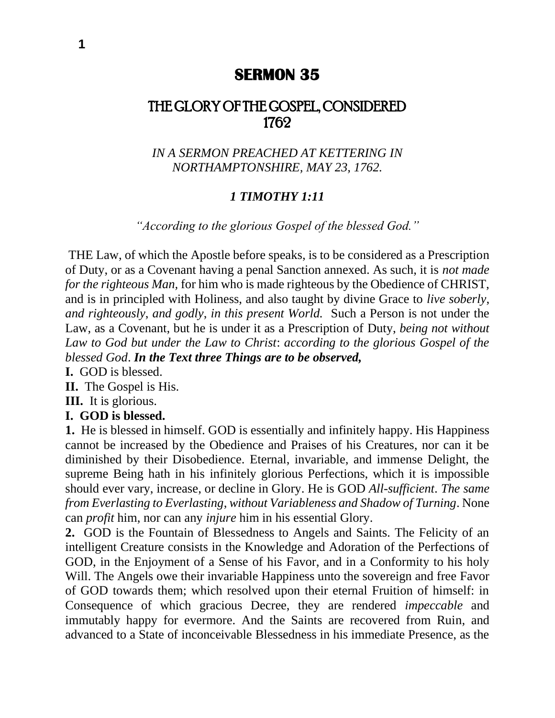# **SERMON 35**

# THE GLORY OF THE GOSPEL, CONSIDERED 1762

*IN A SERMON PREACHED AT KETTERING IN NORTHAMPTONSHIRE, MAY 23, 1762.*

### *1 TIMOTHY 1:11*

*"According to the glorious Gospel of the blessed God."*

THE Law, of which the Apostle before speaks, is to be considered as a Prescription of Duty, or as a Covenant having a penal Sanction annexed. As such, it is *not made for the righteous Man,* for him who is made righteous by the Obedience of CHRIST, and is in principled with Holiness, and also taught by divine Grace to *live soberly*, *and righteously*, *and godly*, *in this present World.* Such a Person is not under the Law, as a Covenant, but he is under it as a Prescription of Duty, *being not without Law to God but under the Law to Christ*: *according to the glorious Gospel of the blessed God*. *In the Text three Things are to be observed,*

**I.** GOD is blessed.

**II.** The Gospel is His.

**III.** It is glorious.

#### **I. GOD is blessed.**

**1.** He is blessed in himself. GOD is essentially and infinitely happy. His Happiness cannot be increased by the Obedience and Praises of his Creatures, nor can it be diminished by their Disobedience. Eternal, invariable, and immense Delight, the supreme Being hath in his infinitely glorious Perfections, which it is impossible should ever vary, increase, or decline in Glory. He is GOD *All-sufficient*. *The same from Everlasting to Everlasting*, *without Variableness and Shadow of Turning*. None can *profit* him, nor can any *injure* him in his essential Glory.

**2.** GOD is the Fountain of Blessedness to Angels and Saints. The Felicity of an intelligent Creature consists in the Knowledge and Adoration of the Perfections of GOD, in the Enjoyment of a Sense of his Favor, and in a Conformity to his holy Will. The Angels owe their invariable Happiness unto the sovereign and free Favor of GOD towards them; which resolved upon their eternal Fruition of himself: in Consequence of which gracious Decree, they are rendered *impeccable* and immutably happy for evermore. And the Saints are recovered from Ruin, and advanced to a State of inconceivable Blessedness in his immediate Presence, as the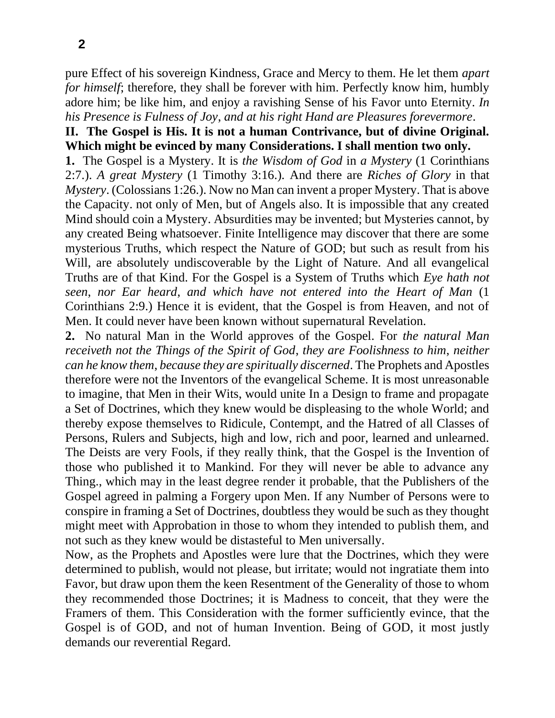pure Effect of his sovereign Kindness, Grace and Mercy to them. He let them *apart for himself*; therefore, they shall be forever with him. Perfectly know him, humbly adore him; be like him, and enjoy a ravishing Sense of his Favor unto Eternity. *In his Presence is Fulness of Joy*, *and at his right Hand are Pleasures forevermore*.

## **II. The Gospel is His. It is not a human Contrivance, but of divine Original. Which might be evinced by many Considerations. I shall mention two only.**

**1.** The Gospel is a Mystery. It is *the Wisdom of God* in *a Mystery* (1 Corinthians 2:7.). *A great Mystery* (1 Timothy 3:16.). And there are *Riches of Glory* in that *Mystery*. (Colossians 1:26.). Now no Man can invent a proper Mystery. That is above the Capacity. not only of Men, but of Angels also. It is impossible that any created Mind should coin a Mystery. Absurdities may be invented; but Mysteries cannot, by any created Being whatsoever. Finite Intelligence may discover that there are some mysterious Truths, which respect the Nature of GOD; but such as result from his Will, are absolutely undiscoverable by the Light of Nature. And all evangelical Truths are of that Kind. For the Gospel is a System of Truths which *Eye hath not seen*, *nor Ear heard*, *and which have not entered into the Heart of Man* (1 Corinthians 2:9.) Hence it is evident, that the Gospel is from Heaven, and not of Men. It could never have been known without supernatural Revelation.

**2.** No natural Man in the World approves of the Gospel. For *the natural Man receiveth not the Things of the Spirit of God*, *they are Foolishness to him*, *neither can he know them*, *because they are spiritually discerned*. The Prophets and Apostles therefore were not the Inventors of the evangelical Scheme. It is most unreasonable to imagine, that Men in their Wits, would unite In a Design to frame and propagate a Set of Doctrines, which they knew would be displeasing to the whole World; and thereby expose themselves to Ridicule, Contempt, and the Hatred of all Classes of Persons, Rulers and Subjects, high and low, rich and poor, learned and unlearned. The Deists are very Fools, if they really think, that the Gospel is the Invention of those who published it to Mankind. For they will never be able to advance any Thing., which may in the least degree render it probable, that the Publishers of the Gospel agreed in palming a Forgery upon Men. If any Number of Persons were to conspire in framing a Set of Doctrines, doubtless they would be such as they thought might meet with Approbation in those to whom they intended to publish them, and not such as they knew would be distasteful to Men universally.

Now, as the Prophets and Apostles were lure that the Doctrines, which they were determined to publish, would not please, but irritate; would not ingratiate them into Favor, but draw upon them the keen Resentment of the Generality of those to whom they recommended those Doctrines; it is Madness to conceit, that they were the Framers of them. This Consideration with the former sufficiently evince, that the Gospel is of GOD, and not of human Invention. Being of GOD, it most justly demands our reverential Regard.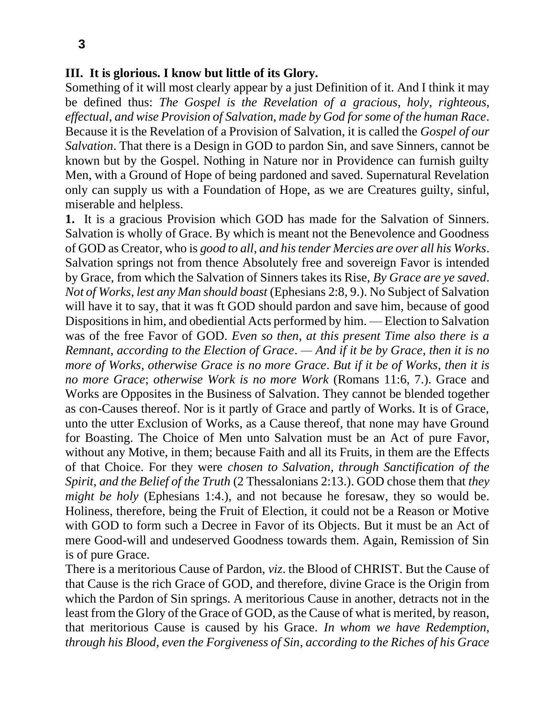### **III. It is glorious. I know but little of its Glory.**

Something of it will most clearly appear by a just Definition of it. And I think it may be defined thus: *The Gospel is the Revelation of a gracious*, *holy*, *righteous*, *effectual*, *and wise Provision of Salvation*, *made by God for some of the human Race*. Because it is the Revelation of a Provision of Salvation, it is called the *Gospel of our Salvation*. That there is a Design in GOD to pardon Sin, and save Sinners, cannot be known but by the Gospel. Nothing in Nature nor in Providence can furnish guilty Men, with a Ground of Hope of being pardoned and saved. Supernatural Revelation only can supply us with a Foundation of Hope, as we are Creatures guilty, sinful, miserable and helpless.

**1.** It is a gracious Provision which GOD has made for the Salvation of Sinners. Salvation is wholly of Grace. By which is meant not the Benevolence and Goodness of GOD as Creator, who is *good to all*, *and his tender Mercies are over all his Works*. Salvation springs not from thence Absolutely free and sovereign Favor is intended by Grace, from which the Salvation of Sinners takes its Rise, *By Grace are ye saved*. *Not of Works*, *lest any Man should boast* (Ephesians 2:8, 9.). No Subject of Salvation will have it to say, that it was ft GOD should pardon and save him, because of good Dispositions in him, and obediential Acts performed by him. — Election to Salvation was of the free Favor of GOD. *Even so then*, *at this present Time also there is a Remnant*, *according to the Election of Grace*. *— And if it be by Grace*, *then it is no more of Works*, *otherwise Grace is no more Grace*. *But if it be of Works*, *then it is no more Grace*; *otherwise Work is no more Work* (Romans 11:6, 7.). Grace and Works are Opposites in the Business of Salvation. They cannot be blended together as con-Causes thereof. Nor is it partly of Grace and partly of Works. It is of Grace, unto the utter Exclusion of Works, as a Cause thereof, that none may have Ground for Boasting. The Choice of Men unto Salvation must be an Act of pure Favor, without any Motive, in them; because Faith and all its Fruits, in them are the Effects of that Choice. For they were *chosen to Salvation*, *through Sanctification of the Spirit*, *and the Belief of the Truth* (2 Thessalonians 2:13.). GOD chose them that *they might be holy* (Ephesians 1:4.), and not because he foresaw, they so would be. Holiness, therefore, being the Fruit of Election, it could not be a Reason or Motive with GOD to form such a Decree in Favor of its Objects. But it must be an Act of mere Good-will and undeserved Goodness towards them. Again, Remission of Sin is of pure Grace.

There is a meritorious Cause of Pardon, *viz*. the Blood of CHRIST. But the Cause of that Cause is the rich Grace of GOD, and therefore, divine Grace is the Origin from which the Pardon of Sin springs. A meritorious Cause in another, detracts not in the least from the Glory of the Grace of GOD, as the Cause of what is merited, by reason, that meritorious Cause is caused by his Grace. *In whom we have Redemption*, *through his Blood*, *even the Forgiveness of Sin*, *according to the Riches of his Grace*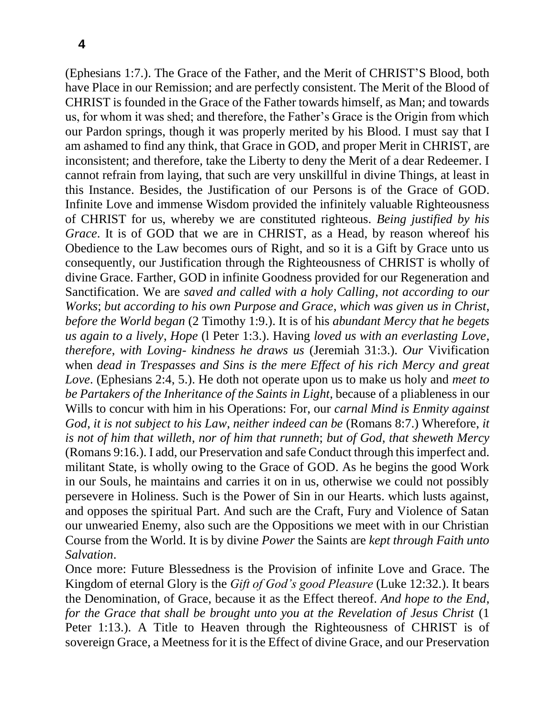(Ephesians 1:7.). The Grace of the Father, and the Merit of CHRIST'S Blood, both have Place in our Remission; and are perfectly consistent. The Merit of the Blood of CHRIST is founded in the Grace of the Father towards himself, as Man; and towards us, for whom it was shed; and therefore, the Father's Grace is the Origin from which our Pardon springs, though it was properly merited by his Blood. I must say that I am ashamed to find any think, that Grace in GOD, and proper Merit in CHRIST, are inconsistent; and therefore, take the Liberty to deny the Merit of a dear Redeemer. I cannot refrain from laying, that such are very unskillful in divine Things, at least in this Instance. Besides, the Justification of our Persons is of the Grace of GOD. Infinite Love and immense Wisdom provided the infinitely valuable Righteousness of CHRIST for us, whereby we are constituted righteous. *Being justified by his Grace*. It is of GOD that we are in CHRIST, as a Head, by reason whereof his Obedience to the Law becomes ours of Right, and so it is a Gift by Grace unto us consequently, our Justification through the Righteousness of CHRIST is wholly of divine Grace. Farther, GOD in infinite Goodness provided for our Regeneration and Sanctification. We are *saved and called with a holy Calling*, *not according to our Works*; *but according to his own Purpose and Grace*, *which was given us in Christ*, *before the World began* (2 Timothy 1:9.). It is of his *abundant Mercy that he begets us again to a lively*, *Hope* (l Peter 1:3.). Having *loved us with an everlasting Love*, *therefore*, *with Loving- kindness he draws us* (Jeremiah 31:3.). *Our* Vivification when *dead in Trespasses and Sins is the mere Effect of his rich Mercy and great Love*. (Ephesians 2:4, 5.). He doth not operate upon us to make us holy and *meet to be Partakers of the Inheritance of the Saints in Light*, because of a pliableness in our Wills to concur with him in his Operations: For, our *carnal Mind is Enmity against God*, *it is not subject to his Law*, *neither indeed can be* (Romans 8:7.) Wherefore, *it is not of him that willeth*, *nor of him that runneth*; *but of God*, *that sheweth Mercy*  (Romans 9:16.). I add, our Preservation and safe Conduct through this imperfect and. militant State, is wholly owing to the Grace of GOD. As he begins the good Work in our Souls, he maintains and carries it on in us, otherwise we could not possibly persevere in Holiness. Such is the Power of Sin in our Hearts. which lusts against, and opposes the spiritual Part. And such are the Craft, Fury and Violence of Satan our unwearied Enemy, also such are the Oppositions we meet with in our Christian Course from the World. It is by divine *Power* the Saints are *kept through Faith unto Salvation*.

Once more: Future Blessedness is the Provision of infinite Love and Grace. The Kingdom of eternal Glory is the *Gift of God's good Pleasure* (Luke 12:32.). It bears the Denomination, of Grace, because it as the Effect thereof. *And hope to the End*, *for the Grace that shall be brought unto you at the Revelation of Jesus Christ* (1 Peter 1:13.). A Title to Heaven through the Righteousness of CHRIST is of sovereign Grace, a Meetness for it is the Effect of divine Grace, and our Preservation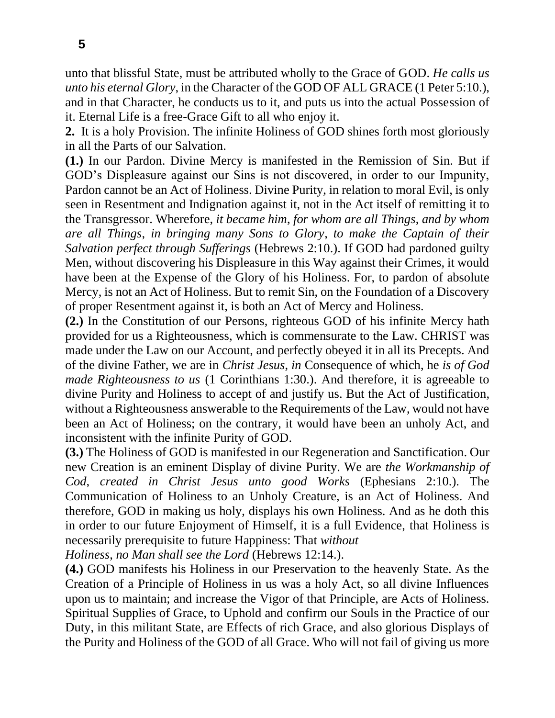unto that blissful State, must be attributed wholly to the Grace of GOD. *He calls us unto his eternal Glory*, in the Character of the GOD OF ALL GRACE (1 Peter 5:10.), and in that Character, he conducts us to it, and puts us into the actual Possession of it. Eternal Life is a free-Grace Gift to all who enjoy it.

**2.** It is a holy Provision. The infinite Holiness of GOD shines forth most gloriously in all the Parts of our Salvation.

**(1.)** In our Pardon. Divine Mercy is manifested in the Remission of Sin. But if GOD's Displeasure against our Sins is not discovered, in order to our Impunity, Pardon cannot be an Act of Holiness. Divine Purity, in relation to moral Evil, is only seen in Resentment and Indignation against it, not in the Act itself of remitting it to the Transgressor. Wherefore, *it became him*, *for whom are all Things*, *and by whom are all Things*, *in bringing many Sons to Glory*, *to make the Captain of their Salvation perfect through Sufferings* (Hebrews 2:10.). If GOD had pardoned guilty Men, without discovering his Displeasure in this Way against their Crimes, it would have been at the Expense of the Glory of his Holiness. For, to pardon of absolute Mercy, is not an Act of Holiness. But to remit Sin, on the Foundation of a Discovery of proper Resentment against it, is both an Act of Mercy and Holiness.

**(2.)** In the Constitution of our Persons, righteous GOD of his infinite Mercy hath provided for us a Righteousness, which is commensurate to the Law. CHRIST was made under the Law on our Account, and perfectly obeyed it in all its Precepts. And of the divine Father, we are in *Christ Jesus*, *in* Consequence of which, he *is of God made Righteousness to us* (1 Corinthians 1:30.). And therefore, it is agreeable to divine Purity and Holiness to accept of and justify us. But the Act of Justification, without a Righteousness answerable to the Requirements of the Law, would not have been an Act of Holiness; on the contrary, it would have been an unholy Act, and inconsistent with the infinite Purity of GOD.

**(3.)** The Holiness of GOD is manifested in our Regeneration and Sanctification. Our new Creation is an eminent Display of divine Purity. We are *the Workmanship of Cod*, *created in Christ Jesus unto good Works* (Ephesians 2:10.). The Communication of Holiness to an Unholy Creature, is an Act of Holiness. And therefore, GOD in making us holy, displays his own Holiness. And as he doth this in order to our future Enjoyment of Himself, it is a full Evidence, that Holiness is necessarily prerequisite to future Happiness: That *without*

*Holiness*, *no Man shall see the Lord* (Hebrews 12:14.).

**(4.)** GOD manifests his Holiness in our Preservation to the heavenly State. As the Creation of a Principle of Holiness in us was a holy Act, so all divine Influences upon us to maintain; and increase the Vigor of that Principle, are Acts of Holiness. Spiritual Supplies of Grace, to Uphold and confirm our Souls in the Practice of our Duty, in this militant State, are Effects of rich Grace, and also glorious Displays of the Purity and Holiness of the GOD of all Grace. Who will not fail of giving us more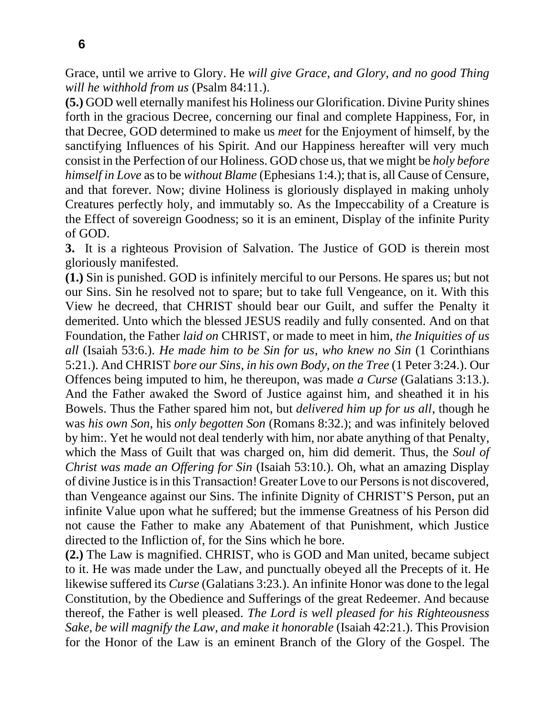Grace, until we arrive to Glory. He *will give Grace*, *and Glory*, *and no good Thing will he withhold from us* (Psalm 84:11.).

**(5.)** GOD well eternally manifest his Holiness our Glorification. Divine Purity shines forth in the gracious Decree, concerning our final and complete Happiness, For, in that Decree, GOD determined to make us *meet* for the Enjoyment of himself, by the sanctifying Influences of his Spirit. And our Happiness hereafter will very much consist in the Perfection of our Holiness. GOD chose us, that we might be *holy before himself in Love* as to be *without Blame* (Ephesians 1:4.); that is, all Cause of Censure, and that forever. Now; divine Holiness is gloriously displayed in making unholy Creatures perfectly holy, and immutably so. As the Impeccability of a Creature is the Effect of sovereign Goodness; so it is an eminent, Display of the infinite Purity of GOD.

**3.** It is a righteous Provision of Salvation. The Justice of GOD is therein most gloriously manifested.

**(1.)** Sin is punished. GOD is infinitely merciful to our Persons. He spares us; but not our Sins. Sin he resolved not to spare; but to take full Vengeance, on it. With this View he decreed, that CHRIST should bear our Guilt, and suffer the Penalty it demerited. Unto which the blessed JESUS readily and fully consented. And on that Foundation, the Father *laid on* CHRIST, or made to meet in him, *the Iniquities of us all* (Isaiah 53:6.). *He made him to be Sin for us*, *who knew no Sin* (1 Corinthians 5:21.). And CHRIST *bore our Sins*, *in his own Body*, *on the Tree* (1 Peter 3:24.). Our Offences being imputed to him, he thereupon, was made *a Curse* (Galatians 3:13.). And the Father awaked the Sword of Justice against him, and sheathed it in his Bowels. Thus the Father spared him not, but *delivered him up for us all*, though he was *his own Son*, his *only begotten Son* (Romans 8:32.); and was infinitely beloved by him:. Yet he would not deal tenderly with him, nor abate anything of that Penalty, which the Mass of Guilt that was charged on, him did demerit. Thus, the *Soul of Christ was made an Offering for Sin* (Isaiah 53:10.). Oh, what an amazing Display of divine Justice is in this Transaction! Greater Love to our Persons is not discovered, than Vengeance against our Sins. The infinite Dignity of CHRIST'S Person, put an infinite Value upon what he suffered; but the immense Greatness of his Person did not cause the Father to make any Abatement of that Punishment, which Justice directed to the Infliction of, for the Sins which he bore.

**(2.)** The Law is magnified. CHRIST, who is GOD and Man united, became subject to it. He was made under the Law, and punctually obeyed all the Precepts of it. He likewise suffered its *Curse* (Galatians 3:23.). An infinite Honor was done to the legal Constitution, by the Obedience and Sufferings of the great Redeemer. And because thereof, the Father is well pleased. *The Lord is well pleased for his Righteousness Sake*, *be will magnify the Law*, *and make it honorable* (Isaiah 42:21.). This Provision for the Honor of the Law is an eminent Branch of the Glory of the Gospel. The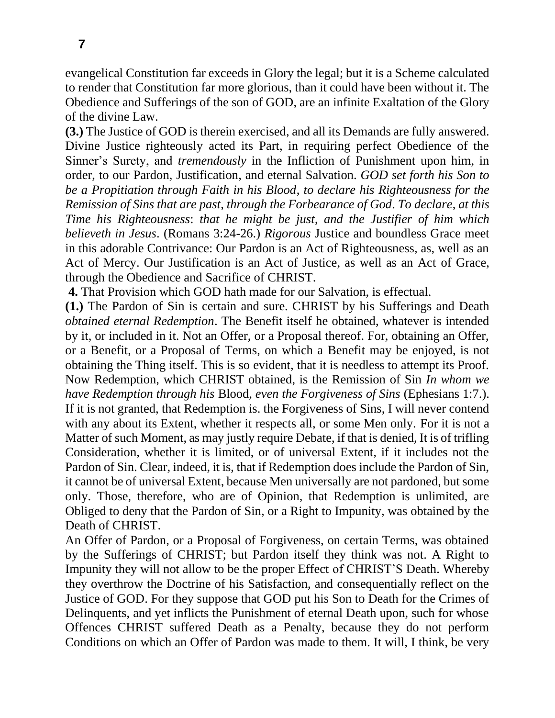evangelical Constitution far exceeds in Glory the legal; but it is a Scheme calculated to render that Constitution far more glorious, than it could have been without it. The Obedience and Sufferings of the son of GOD, are an infinite Exaltation of the Glory of the divine Law.

**(3.)** The Justice of GOD is therein exercised, and all its Demands are fully answered. Divine Justice righteously acted its Part, in requiring perfect Obedience of the Sinner's Surety, and *tremendously* in the Infliction of Punishment upon him, in order, to our Pardon, Justification, and eternal Salvation. *GOD set forth his Son to be a Propitiation through Faith in his Blood*, *to declare his Righteousness for the Remission of Sins that are past*, *through the Forbearance of God*. *To declare*, *at this Time his Righteousness*: *that he might be just*, *and the Justifier of him which believeth in Jesus*. (Romans 3:24-26.) *Rigorous* Justice and boundless Grace meet in this adorable Contrivance: Our Pardon is an Act of Righteousness, as, well as an Act of Mercy. Our Justification is an Act of Justice, as well as an Act of Grace, through the Obedience and Sacrifice of CHRIST.

**4.** That Provision which GOD hath made for our Salvation, is effectual.

**(1.)** The Pardon of Sin is certain and sure. CHRIST by his Sufferings and Death *obtained eternal Redemption*. The Benefit itself he obtained, whatever is intended by it, or included in it. Not an Offer, or a Proposal thereof. For, obtaining an Offer, or a Benefit, or a Proposal of Terms, on which a Benefit may be enjoyed, is not obtaining the Thing itself. This is so evident, that it is needless to attempt its Proof. Now Redemption, which CHRIST obtained, is the Remission of Sin *In whom we have Redemption through his* Blood, *even the Forgiveness of Sins* (Ephesians 1:7.). If it is not granted, that Redemption is. the Forgiveness of Sins, I will never contend with any about its Extent, whether it respects all, or some Men only. For it is not a Matter of such Moment, as may justly require Debate, if that is denied, It is of trifling Consideration, whether it is limited, or of universal Extent, if it includes not the Pardon of Sin. Clear, indeed, it is, that if Redemption does include the Pardon of Sin, it cannot be of universal Extent, because Men universally are not pardoned, but some only. Those, therefore, who are of Opinion, that Redemption is unlimited, are Obliged to deny that the Pardon of Sin, or a Right to Impunity, was obtained by the Death of CHRIST.

An Offer of Pardon, or a Proposal of Forgiveness, on certain Terms, was obtained by the Sufferings of CHRIST; but Pardon itself they think was not. A Right to Impunity they will not allow to be the proper Effect of CHRIST'S Death. Whereby they overthrow the Doctrine of his Satisfaction, and consequentially reflect on the Justice of GOD. For they suppose that GOD put his Son to Death for the Crimes of Delinquents, and yet inflicts the Punishment of eternal Death upon, such for whose Offences CHRIST suffered Death as a Penalty, because they do not perform Conditions on which an Offer of Pardon was made to them. It will, I think, be very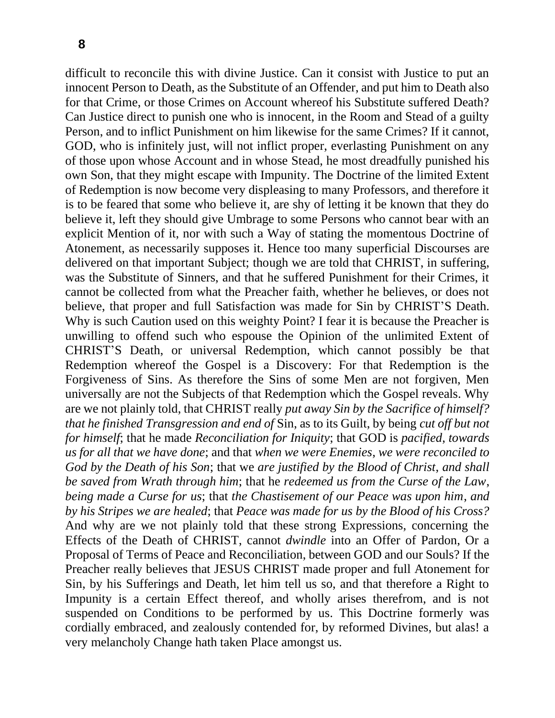difficult to reconcile this with divine Justice. Can it consist with Justice to put an innocent Person to Death, as the Substitute of an Offender, and put him to Death also for that Crime, or those Crimes on Account whereof his Substitute suffered Death? Can Justice direct to punish one who is innocent, in the Room and Stead of a guilty Person, and to inflict Punishment on him likewise for the same Crimes? If it cannot, GOD, who is infinitely just, will not inflict proper, everlasting Punishment on any of those upon whose Account and in whose Stead, he most dreadfully punished his own Son, that they might escape with Impunity. The Doctrine of the limited Extent of Redemption is now become very displeasing to many Professors, and therefore it is to be feared that some who believe it, are shy of letting it be known that they do believe it, left they should give Umbrage to some Persons who cannot bear with an explicit Mention of it, nor with such a Way of stating the momentous Doctrine of Atonement, as necessarily supposes it. Hence too many superficial Discourses are delivered on that important Subject; though we are told that CHRIST, in suffering, was the Substitute of Sinners, and that he suffered Punishment for their Crimes, it cannot be collected from what the Preacher faith, whether he believes, or does not believe, that proper and full Satisfaction was made for Sin by CHRIST'S Death. Why is such Caution used on this weighty Point? I fear it is because the Preacher is unwilling to offend such who espouse the Opinion of the unlimited Extent of CHRIST'S Death, or universal Redemption, which cannot possibly be that Redemption whereof the Gospel is a Discovery: For that Redemption is the Forgiveness of Sins. As therefore the Sins of some Men are not forgiven, Men universally are not the Subjects of that Redemption which the Gospel reveals. Why are we not plainly told, that CHRIST really *put away Sin by the Sacrifice of himself? that he finished Transgression and end of* Sin, as to its Guilt, by being *cut off but not for himself*; that he made *Reconciliation for Iniquity*; that GOD is *pacified*, *towards us for all that we have done*; and that *when we were Enemies*, *we were reconciled to God by the Death of his Son*; that we *are justified by the Blood of Christ*, *and shall be saved from Wrath through him*; that he *redeemed us from the Curse of the Law*, *being made a Curse for us*; that *the Chastisement of our Peace was upon him*, *and by his Stripes we are healed*; that *Peace was made for us by the Blood of his Cross?*  And why are we not plainly told that these strong Expressions, concerning the Effects of the Death of CHRIST, cannot *dwindle* into an Offer of Pardon, Or a Proposal of Terms of Peace and Reconciliation, between GOD and our Souls? If the Preacher really believes that JESUS CHRIST made proper and full Atonement for Sin, by his Sufferings and Death, let him tell us so, and that therefore a Right to Impunity is a certain Effect thereof, and wholly arises therefrom, and is not suspended on Conditions to be performed by us. This Doctrine formerly was cordially embraced, and zealously contended for, by reformed Divines, but alas! a very melancholy Change hath taken Place amongst us.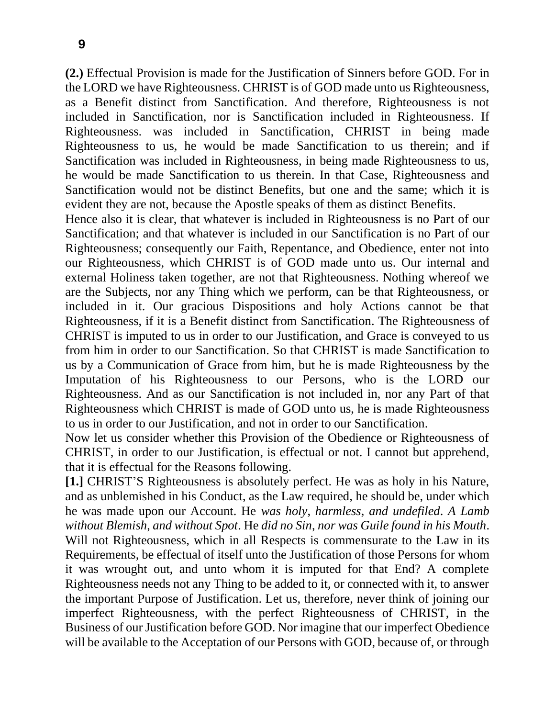**(2.)** Effectual Provision is made for the Justification of Sinners before GOD. For in the LORD we have Righteousness. CHRIST is of GOD made unto us Righteousness, as a Benefit distinct from Sanctification. And therefore, Righteousness is not included in Sanctification, nor is Sanctification included in Righteousness. If Righteousness. was included in Sanctification, CHRIST in being made Righteousness to us, he would be made Sanctification to us therein; and if Sanctification was included in Righteousness, in being made Righteousness to us, he would be made Sanctification to us therein. In that Case, Righteousness and Sanctification would not be distinct Benefits, but one and the same; which it is evident they are not, because the Apostle speaks of them as distinct Benefits.

Hence also it is clear, that whatever is included in Righteousness is no Part of our Sanctification; and that whatever is included in our Sanctification is no Part of our Righteousness; consequently our Faith, Repentance, and Obedience, enter not into our Righteousness, which CHRIST is of GOD made unto us. Our internal and external Holiness taken together, are not that Righteousness. Nothing whereof we are the Subjects, nor any Thing which we perform, can be that Righteousness, or included in it. Our gracious Dispositions and holy Actions cannot be that Righteousness, if it is a Benefit distinct from Sanctification. The Righteousness of CHRIST is imputed to us in order to our Justification, and Grace is conveyed to us from him in order to our Sanctification. So that CHRIST is made Sanctification to us by a Communication of Grace from him, but he is made Righteousness by the Imputation of his Righteousness to our Persons, who is the LORD our Righteousness. And as our Sanctification is not included in, nor any Part of that Righteousness which CHRIST is made of GOD unto us, he is made Righteousness to us in order to our Justification, and not in order to our Sanctification.

Now let us consider whether this Provision of the Obedience or Righteousness of CHRIST, in order to our Justification, is effectual or not. I cannot but apprehend, that it is effectual for the Reasons following.

**[1.]** CHRIST'S Righteousness is absolutely perfect. He was as holy in his Nature, and as unblemished in his Conduct, as the Law required, he should be, under which he was made upon our Account. He *was holy*, *harmless*, *and undefiled*. *A Lamb without Blemish*, *and without Spot*. He *did no Sin*, *nor was Guile found in his Mouth*. Will not Righteousness, which in all Respects is commensurate to the Law in its Requirements, be effectual of itself unto the Justification of those Persons for whom it was wrought out, and unto whom it is imputed for that End? A complete Righteousness needs not any Thing to be added to it, or connected with it, to answer the important Purpose of Justification. Let us, therefore, never think of joining our imperfect Righteousness, with the perfect Righteousness of CHRIST, in the Business of our Justification before GOD. Nor imagine that our imperfect Obedience will be available to the Acceptation of our Persons with GOD, because of, or through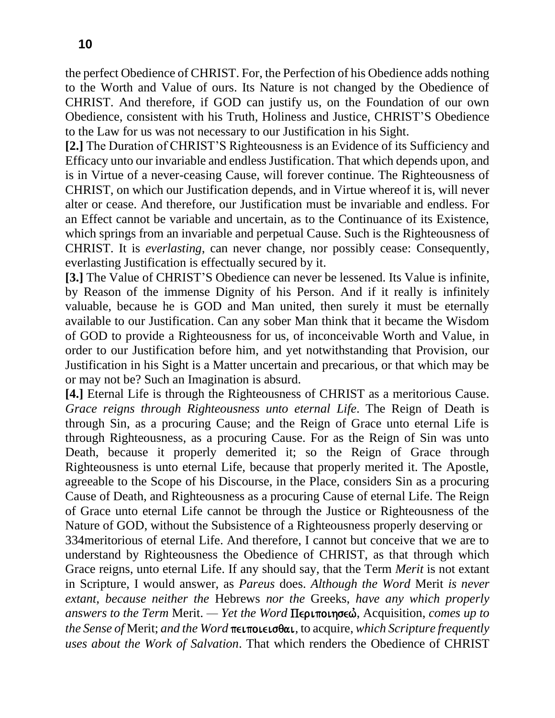the perfect Obedience of CHRIST. For, the Perfection of his Obedience adds nothing to the Worth and Value of ours. Its Nature is not changed by the Obedience of CHRIST. And therefore, if GOD can justify us, on the Foundation of our own Obedience, consistent with his Truth, Holiness and Justice, CHRIST'S Obedience to the Law for us was not necessary to our Justification in his Sight.

**[2.]** The Duration of CHRIST'S Righteousness is an Evidence of its Sufficiency and Efficacy unto our invariable and endless Justification. That which depends upon, and is in Virtue of a never-ceasing Cause, will forever continue. The Righteousness of CHRIST, on which our Justification depends, and in Virtue whereof it is, will never alter or cease. And therefore, our Justification must be invariable and endless. For an Effect cannot be variable and uncertain, as to the Continuance of its Existence, which springs from an invariable and perpetual Cause. Such is the Righteousness of CHRIST. It is *everlasting*, can never change, nor possibly cease: Consequently, everlasting Justification is effectually secured by it.

**[3.]** The Value of CHRIST'S Obedience can never be lessened. Its Value is infinite, by Reason of the immense Dignity of his Person. And if it really is infinitely valuable, because he is GOD and Man united, then surely it must be eternally available to our Justification. Can any sober Man think that it became the Wisdom of GOD to provide a Righteousness for us, of inconceivable Worth and Value, in order to our Justification before him, and yet notwithstanding that Provision, our Justification in his Sight is a Matter uncertain and precarious, or that which may be or may not be? Such an Imagination is absurd.

**[4.]** Eternal Life is through the Righteousness of CHRIST as a meritorious Cause. *Grace reigns through Righteousness unto eternal Life*. The Reign of Death is through Sin, as a procuring Cause; and the Reign of Grace unto eternal Life is through Righteousness, as a procuring Cause. For as the Reign of Sin was unto Death, because it properly demerited it; so the Reign of Grace through Righteousness is unto eternal Life, because that properly merited it. The Apostle, agreeable to the Scope of his Discourse, in the Place, considers Sin as a procuring Cause of Death, and Righteousness as a procuring Cause of eternal Life. The Reign of Grace unto eternal Life cannot be through the Justice or Righteousness of the Nature of GOD, without the Subsistence of a Righteousness properly deserving or 334meritorious of eternal Life. And therefore, I cannot but conceive that we are to understand by Righteousness the Obedience of CHRIST, as that through which Grace reigns, unto eternal Life. If any should say, that the Term *Merit* is not extant in Scripture, I would answer, as *Pareus* does. *Although the Word* Merit *is never extant*, *because neither the* Hebrews *nor the* Greeks, *have any which properly answers to the Term Merit. — Yet the Word Περιποιησεώ, Acquisition, <i>comes up to the Sense of Merit; and the Word* πειποιεισθαι, to acquire, *which Scripture frequently uses about the Work of Salvation*. That which renders the Obedience of CHRIST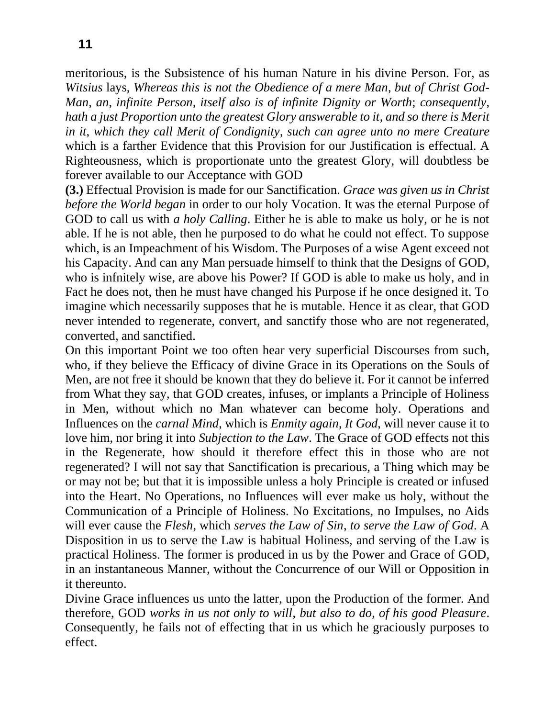meritorious, is the Subsistence of his human Nature in his divine Person. For, as *Witsius* lays, *Whereas this is not the Obedience of a mere Man*, *but of Christ God-Man*, *an*, *infinite Person*, *itself also is of infinite Dignity or Worth*; *consequently*, *hath a just Proportion unto the greatest Glory answerable to it*, *and so there is Merit in it*, *which they call Merit of Condignity*, *such can agree unto no mere Creature* which is a farther Evidence that this Provision for our Justification is effectual. A Righteousness, which is proportionate unto the greatest Glory, will doubtless be forever available to our Acceptance with GOD

**(3.)** Effectual Provision is made for our Sanctification. *Grace was given us in Christ before the World began* in order to our holy Vocation. It was the eternal Purpose of GOD to call us with *a holy Calling*. Either he is able to make us holy, or he is not able. If he is not able, then he purposed to do what he could not effect. To suppose which, is an Impeachment of his Wisdom. The Purposes of a wise Agent exceed not his Capacity. And can any Man persuade himself to think that the Designs of GOD, who is infnitely wise, are above his Power? If GOD is able to make us holy, and in Fact he does not, then he must have changed his Purpose if he once designed it. To imagine which necessarily supposes that he is mutable. Hence it as clear, that GOD never intended to regenerate, convert, and sanctify those who are not regenerated, converted, and sanctified.

On this important Point we too often hear very superficial Discourses from such, who, if they believe the Efficacy of divine Grace in its Operations on the Souls of Men, are not free it should be known that they do believe it. For it cannot be inferred from What they say, that GOD creates, infuses, or implants a Principle of Holiness in Men, without which no Man whatever can become holy. Operations and Influences on the *carnal Mind*, which is *Enmity again*, *It God*, will never cause it to love him, nor bring it into *Subjection to the Law*. The Grace of GOD effects not this in the Regenerate, how should it therefore effect this in those who are not regenerated? I will not say that Sanctification is precarious, a Thing which may be or may not be; but that it is impossible unless a holy Principle is created or infused into the Heart. No Operations, no Influences will ever make us holy, without the Communication of a Principle of Holiness. No Excitations, no Impulses, no Aids will ever cause the *Flesh*, which *serves the Law of Sin*, *to serve the Law of God*. A Disposition in us to serve the Law is habitual Holiness, and serving of the Law is practical Holiness. The former is produced in us by the Power and Grace of GOD, in an instantaneous Manner, without the Concurrence of our Will or Opposition in it thereunto.

Divine Grace influences us unto the latter, upon the Production of the former. And therefore, GOD *works in us not only to will*, *but also to do*, *of his good Pleasure*. Consequently, he fails not of effecting that in us which he graciously purposes to effect.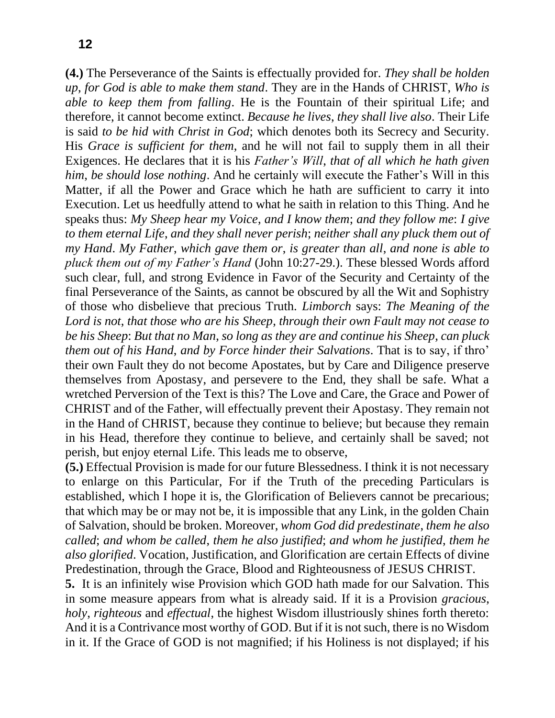**(4.)** The Perseverance of the Saints is effectually provided for. *They shall be holden up*, *for God is able to make them stand*. They are in the Hands of CHRIST, *Who is able to keep them from falling*. He is the Fountain of their spiritual Life; and therefore, it cannot become extinct. *Because he lives*, *they shall live also*. Their Life is said *to be hid with Christ in God*; which denotes both its Secrecy and Security. His *Grace is sufficient for them*, and he will not fail to supply them in all their Exigences. He declares that it is his *Father's Will*, *that of all which he hath given him*, *be should lose nothing*. And he certainly will execute the Father's Will in this Matter, if all the Power and Grace which he hath are sufficient to carry it into Execution. Let us heedfully attend to what he saith in relation to this Thing. And he speaks thus: *My Sheep hear my Voice*, *and I know them*; *and they follow me*: *I give to them eternal Life*, *and they shall never perish*; *neither shall any pluck them out of my Hand*. *My Father*, *which gave them or*, *is greater than all*, *and none is able to pluck them out of my Father's Hand* (John 10:27-29.). These blessed Words afford such clear, full, and strong Evidence in Favor of the Security and Certainty of the final Perseverance of the Saints, as cannot be obscured by all the Wit and Sophistry of those who disbelieve that precious Truth. *Limborch* says: *The Meaning of the Lord is not*, *that those who are his Sheep*, *through their own Fault may not cease to be his Sheep*: *But that no Man*, *so long as they are and continue his Sheep*, *can pluck them out of his Hand*, *and by Force hinder their Salvations*. That is to say, if thro' their own Fault they do not become Apostates, but by Care and Diligence preserve themselves from Apostasy, and persevere to the End, they shall be safe. What a wretched Perversion of the Text is this? The Love and Care, the Grace and Power of CHRIST and of the Father, will effectually prevent their Apostasy. They remain not in the Hand of CHRIST, because they continue to believe; but because they remain in his Head, therefore they continue to believe, and certainly shall be saved; not perish, but enjoy eternal Life. This leads me to observe,

**(5.)** Effectual Provision is made for our future Blessedness. I think it is not necessary to enlarge on this Particular, For if the Truth of the preceding Particulars is established, which I hope it is, the Glorification of Believers cannot be precarious; that which may be or may not be, it is impossible that any Link, in the golden Chain of Salvation, should be broken. Moreover, *whom God did predestinate*, *them he also called*; *and whom be called*, *them he also justified*; *and whom he justified*, *them he also glorified*. Vocation, Justification, and Glorification are certain Effects of divine Predestination, through the Grace, Blood and Righteousness of JESUS CHRIST.

**5.** It is an infinitely wise Provision which GOD hath made for our Salvation. This in some measure appears from what is already said. If it is a Provision *gracious*, *holy*, *righteous* and *effectual*, the highest Wisdom illustriously shines forth thereto: And it is a Contrivance most worthy of GOD. But if it is not such, there is no Wisdom in it. If the Grace of GOD is not magnified; if his Holiness is not displayed; if his